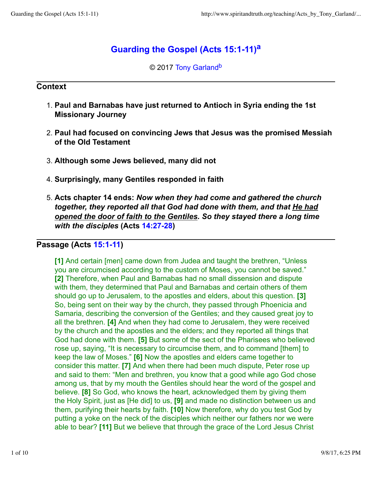# **Guarding the Gospel (Acts 15:1-11)<sup>a</sup>**

© 2017 Tony Garland<sup>b</sup>

#### **Context**

- **Paul and Barnabas have just returned to Antioch in Syria ending the 1st** 1. **Missionary Journey**
- **Paul had focused on convincing Jews that Jesus was the promised Messiah** 2. **of the Old Testament**
- 3. **Although some Jews believed, many did not**
- 4. **Surprisingly, many Gentiles responded in faith**
- **Acts chapter 14 ends:** *Now when they had come and gathered the church* 5. *together, they reported all that God had done with them, and that He had opened the door of faith to the Gentiles. So they stayed there a long time with the disciples* **(Acts 14:27-28)**

## **Passage (Acts 15:1-11)**

**[1]** And certain [men] came down from Judea and taught the brethren, "Unless you are circumcised according to the custom of Moses, you cannot be saved." **[2]** Therefore, when Paul and Barnabas had no small dissension and dispute with them, they determined that Paul and Barnabas and certain others of them should go up to Jerusalem, to the apostles and elders, about this question. **[3]** So, being sent on their way by the church, they passed through Phoenicia and Samaria, describing the conversion of the Gentiles; and they caused great joy to all the brethren. **[4]** And when they had come to Jerusalem, they were received by the church and the apostles and the elders; and they reported all things that God had done with them. **[5]** But some of the sect of the Pharisees who believed rose up, saying, "It is necessary to circumcise them, and to command [them] to keep the law of Moses." **[6]** Now the apostles and elders came together to consider this matter. **[7]** And when there had been much dispute, Peter rose up and said to them: "Men and brethren, you know that a good while ago God chose among us, that by my mouth the Gentiles should hear the word of the gospel and believe. **[8]** So God, who knows the heart, acknowledged them by giving them the Holy Spirit, just as [He did] to us, **[9]** and made no distinction between us and them, purifying their hearts by faith. **[10]** Now therefore, why do you test God by putting a yoke on the neck of the disciples which neither our fathers nor we were able to bear? **[11]** But we believe that through the grace of the Lord Jesus Christ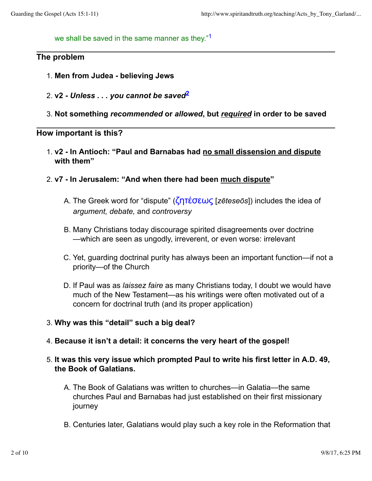we shall be saved in the same manner as they."<sup>1</sup>

#### **The problem**

- 1. **Men from Judea believing Jews**
- **v2** *Unless . . . you cannot be saved***<sup>2</sup>** 2.
- 3. **Not something** *recommended* **or** *allowed***, but** *required* **in order to be saved**

#### **How important is this?**

- **v2 In Antioch: "Paul and Barnabas had no small dissension and dispute** 1. **with them"**
- 2. **v7 In Jerusalem: "And when there had been much dispute"**
	- The Greek word for "dispute" (ζητέσεως [*zēteseōs*]) includes the idea of A. *argument, debate,* and *controversy*
	- Many Christians today discourage spirited disagreements over doctrine B. —which are seen as ungodly, irreverent, or even worse: irrelevant
	- C. Yet, guarding doctrinal purity has always been an important function—if not a priority—of the Church
	- D. If Paul was as *laissez faire* as many Christians today, I doubt we would have much of the New Testament—as his writings were often motivated out of a concern for doctrinal truth (and its proper application)
- 3. **Why was this "detail" such a big deal?**
- 4. **Because it isn't a detail: it concerns the very heart of the gospel!**
- **It was this very issue which prompted Paul to write his first letter in A.D. 49,** 5. **the Book of Galatians.**
	- The Book of Galatians was written to churches—in Galatia—the same A. churches Paul and Barnabas had just established on their first missionary journey
	- B. Centuries later, Galatians would play such a key role in the Reformation that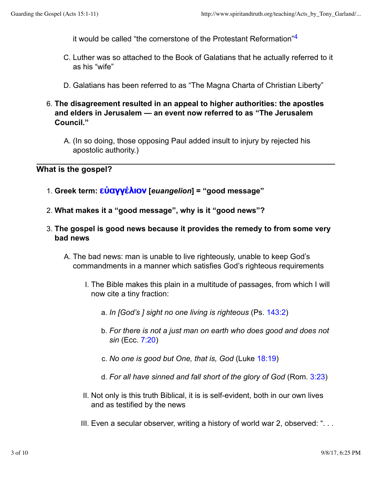it would be called "the cornerstone of the Protestant Reformation"<sup>4</sup>

- C. Luther was so attached to the Book of Galatians that he actually referred to it as his "wife"
- D. Galatians has been referred to as "The Magna Charta of Christian Liberty"
- **The disagreement resulted in an appeal to higher authorities: the apostles** 6. **and elders in Jerusalem — an event now referred to as "The Jerusalem Council."**
	- A. (In so doing, those opposing Paul added insult to injury by rejected his apostolic authority.)

**What is the gospel?**

- 1. **Greek term:** εὐαγγέλιον **[***euangelion***] = "good message"**
- 2. **What makes it a "good message", why is it "good news"?**
- **The gospel is good news because it provides the remedy to from some very** 3. **bad news**
	- A. The bad news: man is unable to live righteously, unable to keep God's commandments in a manner which satisfies God's righteous requirements
		- I. The Bible makes this plain in a multitude of passages, from which I will now cite a tiny fraction:
			- a. *In [God's ] sight no one living is righteous* (Ps. 143:2)
			- *For there is not a just man on earth who does good and does not* b. *sin* (Ecc. 7:20)
			- c. *No one is good but One, that is, God* (Luke 18:19)
			- d. *For all have sinned and fall short of the glory of God* (Rom. 3:23)
		- II. Not only is this truth Biblical, it is is self-evident, both in our own lives and as testified by the news
		- III. Even a secular observer, writing a history of world war 2, observed: ". . .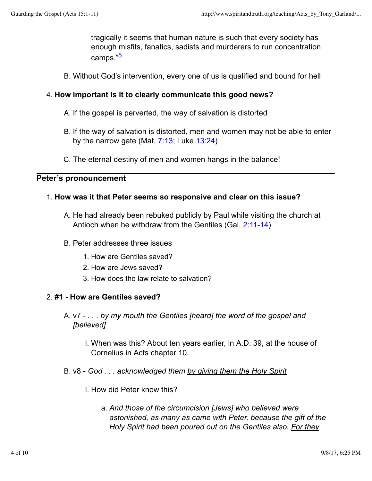tragically it seems that human nature is such that every society has enough misfits, fanatics, sadists and murderers to run concentration camps."<sup>5</sup>

B. Without God's intervention, every one of us is qualified and bound for hell

### 4. **How important is it to clearly communicate this good news?**

- A. If the gospel is perverted, the way of salvation is distorted
- B. If the way of salvation is distorted, men and women may not be able to enter by the narrow gate (Mat.  $7:13$ ; Luke  $13:24$ )
- C. The eternal destiny of men and women hangs in the balance!

#### **Peter's pronouncement**

#### 1. **How was it that Peter seems so responsive and clear on this issue?**

- A. He had already been rebuked publicly by Paul while visiting the church at Antioch when he withdraw from the Gentiles (Gal. 2:11-14)
- B. Peter addresses three issues
	- 1. How are Gentiles saved?
	- 2. How are Jews saved?
	- 3. How does the law relate to salvation?

#### 2. **#1 - How are Gentiles saved?**

- A. v7 *. . . by my mouth the Gentiles [heard] the word of the gospel and [believed]*
	- When was this? About ten years earlier, in A.D. 39, at the house of I. Cornelius in Acts chapter 10.
- B. v8 *God . . . acknowledged them by giving them the Holy Spirit*
	- I. How did Peter know this?
		- *And those of the circumcision [Jews] who believed were* a. *astonished, as many as came with Peter, because the gift of the Holy Spirit had been poured out on the Gentiles also. For they*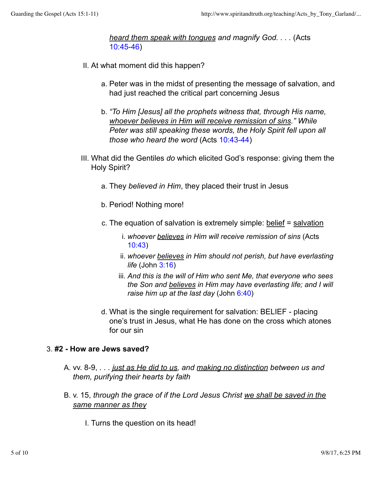*heard them speak with tongues and magnify God. . . .* (Acts 10:45-46)

- II. At what moment did this happen?
	- a. Peter was in the midst of presenting the message of salvation, and had just reached the critical part concerning Jesus
	- *"To Him [Jesus] all the prophets witness that, through His name,* b. *whoever believes in Him will receive remission of sins." While Peter was still speaking these words, the Holy Spirit fell upon all those who heard the word* (Acts 10:43-44)
- What did the Gentiles *do* which elicited God's response: giving them the III. Holy Spirit?
	- a. They *believed in Him*, they placed their trust in Jesus
	- b. Period! Nothing more!
	- c. The equation of salvation is extremely simple: belief = salvation
		- *whoever believes in Him will receive remission of sins* (Acts i. 10:43)
		- *whoever believes in Him should not perish, but have everlasting* ii. *life* (John 3:16)
		- iii. And this is the will of Him who sent Me, that everyone who sees *the Son and believes in Him may have everlasting life; and I will raise him up at the last day* (John 6:40)
	- What is the single requirement for salvation: BELIEF placing d. one's trust in Jesus, what He has done on the cross which atones for our sin

#### 3. **#2 - How are Jews saved?**

- A. vv. 8-9, *. . . <u>just as He did to us</u>, and <u>making no distinction</u> between us and them, purifying their hearts by faith*
- B. v. 15, *through the grace of if the Lord Jesus Christ <u>we shall be saved in the</u> same manner as they*
	- I. Turns the question on its head!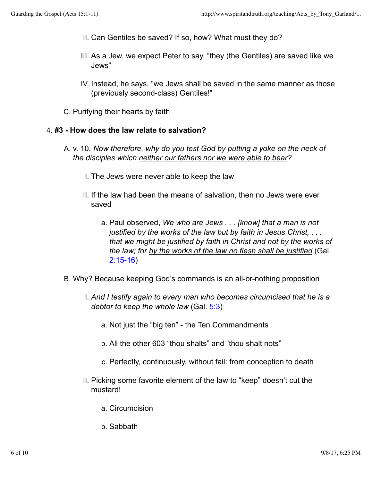- II. Can Gentiles be saved? If so, how? What must they do?
- III. As a Jew, we expect Peter to say, "they (the Gentiles) are saved like we Jews"
- IV. Instead, he says, "we Jews shall be saved in the same manner as those (previously second-class) Gentiles!"
- C. Purifying their hearts by faith

#### 4. **#3 - How does the law relate to salvation?**

- A. v. 10, *Now therefore, why do you test God by putting a yoke on the neck of the disciples which neither our fathers nor we were able to bear?*
	- I. The Jews were never able to keep the law
	- If the law had been the means of salvation, then no Jews were ever II. saved
		- a. Paul observed, *We who are Jews . . . [know] that a man is not justified by the works of the law but by faith in Jesus Christ, . . . that we might be justified by faith in Christ and not by the works of the law; for by the works of the law no flesh shall be justified* (Gal. 2:15-16)
- B. Why? Because keeping God's commands is an all-or-nothing proposition
	- *And I testify again to every man who becomes circumcised that he is a* I. *debtor to keep the whole law* (Gal. 5:3)
		- a. Not just the "big ten" the Ten Commandments
		- b. All the other 603 "thou shalts" and "thou shalt nots"
		- c. Perfectly, continuously, without fail: from conception to death
	- II. Picking some favorite element of the law to "keep" doesn't cut the mustard!
		- a. Circumcision
		- b. Sabbath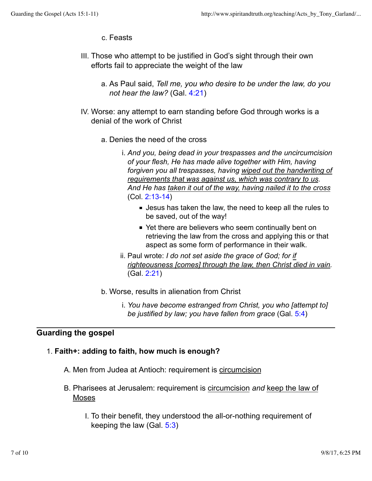- c. Feasts
- III. Those who attempt to be justified in God's sight through their own efforts fail to appreciate the weight of the law
	- As Paul said, *Tell me, you who desire to be under the law, do you* a. *not hear the law?* (Gal. 4:21)
- IV. Worse: any attempt to earn standing before God through works is a denial of the work of Christ
	- a. Denies the need of the cross
		- *And you, being dead in your trespasses and the uncircumcision* i. *of your flesh, He has made alive together with Him, having forgiven you all trespasses, having wiped out the handwriting of requirements that was against us, which was contrary to us. And He has taken it out of the way, having nailed it to the cross* (Col. 2:13-14)
			- Jesus has taken the law, the need to keep all the rules to be saved, out of the way!
			- Yet there are believers who seem continually bent on retrieving the law from the cross and applying this or that aspect as some form of performance in their walk.
		- ii. Paul wrote: *I do not set aside the grace of God; for i<u>f</u> righteousness [comes] through the law, then Christ died in vain.* (Gal. 2:21)
	- b. Worse, results in alienation from Christ
		- *You have become estranged from Christ, you who [attempt to]* i. *be justified by law; you have fallen from grace* (Gal. 5:4)

## **Guarding the gospel**

### 1. **Faith+: adding to faith, how much is enough?**

- A. Men from Judea at Antioch: requirement is circumcision
- B. Pharisees at Jerusalem: requirement is circumcision and keep the law of Moses
	- I. To their benefit, they understood the all-or-nothing requirement of keeping the law (Gal. 5:3)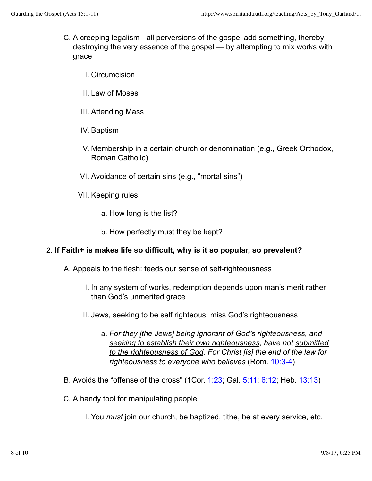- C. A creeping legalism all perversions of the gospel add something, thereby destroying the very essence of the gospel — by attempting to mix works with grace
	- I. Circumcision
	- II. Law of Moses
	- III. Attending Mass
	- IV. Baptism
	- V. Membership in a certain church or denomination (e.g., Greek Orthodox, Roman Catholic)
	- VI. Avoidance of certain sins (e.g., "mortal sins")
	- VII. Keeping rules
		- a. How long is the list?
		- b. How perfectly must they be kept?

#### 2. **If Faith+ is makes life so difficult, why is it so popular, so prevalent?**

- A. Appeals to the flesh: feeds our sense of self-righteousness
	- I. In any system of works, redemption depends upon man's merit rather than God's unmerited grace
	- II. Jews, seeking to be self righteous, miss God's righteousness
		- *For they [the Jews] being ignorant of God's righteousness, and* a. *seeking to establish their own righteousness, have not submitted to the righteousness of God. For Christ [is] the end of the law for righteousness to everyone who believes* (Rom. 10:3-4)
- B. Avoids the "offense of the cross" (1Cor. 1:23; Gal. 5:11; 6:12; Heb. 13:13)
- C. A handy tool for manipulating people
	- I. You *must* join our church, be baptized, tithe, be at every service, etc.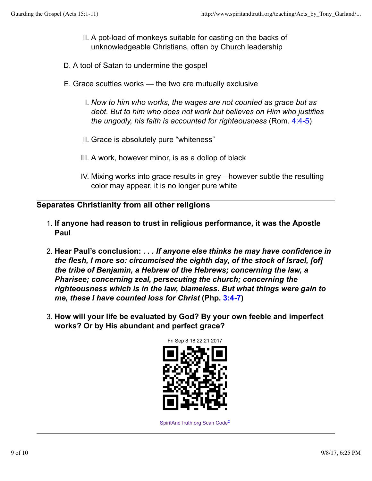- II. A pot-load of monkeys suitable for casting on the backs of unknowledgeable Christians, often by Church leadership
- D. A tool of Satan to undermine the gospel
- E. Grace scuttles works the two are mutually exclusive
	- *Now to him who works, the wages are not counted as grace but as* I. *debt. But to him who does not work but believes on Him who justifies the ungodly, his faith is accounted for righteousness* (Rom. 4:4-5)
	- II. Grace is absolutely pure "whiteness"
	- III. A work, however minor, is as a dollop of black
	- IV. Mixing works into grace results in grey—however subtle the resulting color may appear, it is no longer pure white

### **Separates Christianity from all other religions**

- **If anyone had reason to trust in religious performance, it was the Apostle** 1. **Paul**
- **Hear Paul's conclusion:** *. . . If anyone else thinks he may have confidence in* 2. *the flesh, I more so: circumcised the eighth day, of the stock of Israel, [of] the tribe of Benjamin, a Hebrew of the Hebrews; concerning the law, a Pharisee; concerning zeal, persecuting the church; concerning the righteousness which is in the law, blameless. But what things were gain to me, these I have counted loss for Christ* **(Php. 3:4-7)**
- **How will your life be evaluated by God? By your own feeble and imperfect** 3. **works? Or by His abundant and perfect grace?**



SpiritAndTruth.org Scan Code<sup>c</sup>